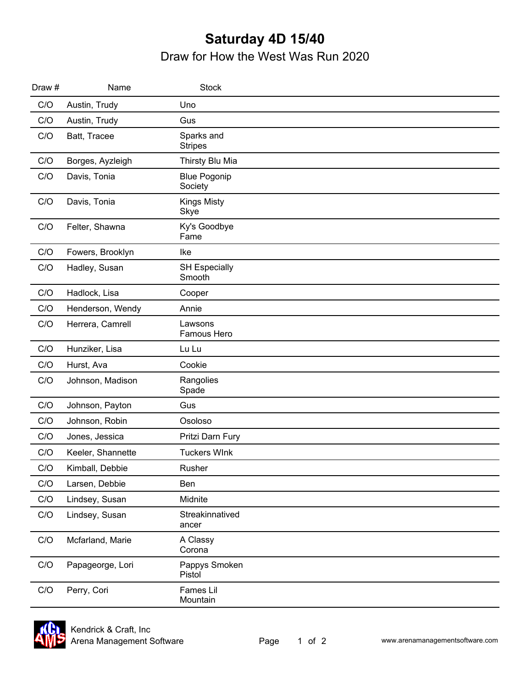## **Saturday 4D 15/40** Draw for How the West Was Run 2020

| Draw # | Name              | <b>Stock</b>                   |  |
|--------|-------------------|--------------------------------|--|
| C/O    | Austin, Trudy     | Uno                            |  |
| C/O    | Austin, Trudy     | Gus                            |  |
| C/O    | Batt, Tracee      | Sparks and<br><b>Stripes</b>   |  |
| C/O    | Borges, Ayzleigh  | Thirsty Blu Mia                |  |
| C/O    | Davis, Tonia      | <b>Blue Pogonip</b><br>Society |  |
| C/O    | Davis, Tonia      | <b>Kings Misty</b><br>Skye     |  |
| C/O    | Felter, Shawna    | Ky's Goodbye<br>Fame           |  |
| C/O    | Fowers, Brooklyn  | Ike                            |  |
| C/O    | Hadley, Susan     | <b>SH Especially</b><br>Smooth |  |
| C/O    | Hadlock, Lisa     | Cooper                         |  |
| C/O    | Henderson, Wendy  | Annie                          |  |
| C/O    | Herrera, Camrell  | Lawsons<br>Famous Hero         |  |
| C/O    | Hunziker, Lisa    | Lu Lu                          |  |
| C/O    | Hurst, Ava        | Cookie                         |  |
| C/O    | Johnson, Madison  | Rangolies<br>Spade             |  |
| C/O    | Johnson, Payton   | Gus                            |  |
| C/O    | Johnson, Robin    | Osoloso                        |  |
| C/O    | Jones, Jessica    | Pritzi Darn Fury               |  |
| C/O    | Keeler, Shannette | <b>Tuckers WInk</b>            |  |
| C/O    | Kimball, Debbie   | Rusher                         |  |
| C/O    | Larsen, Debbie    | Ben                            |  |
| C/O    | Lindsey, Susan    | Midnite                        |  |
| C/O    | Lindsey, Susan    | Streakinnatived<br>ancer       |  |
| C/O    | Mcfarland, Marie  | A Classy<br>Corona             |  |
| C/O    | Papageorge, Lori  | Pappys Smoken<br>Pistol        |  |
| C/O    | Perry, Cori       | Fames Lil<br>Mountain          |  |